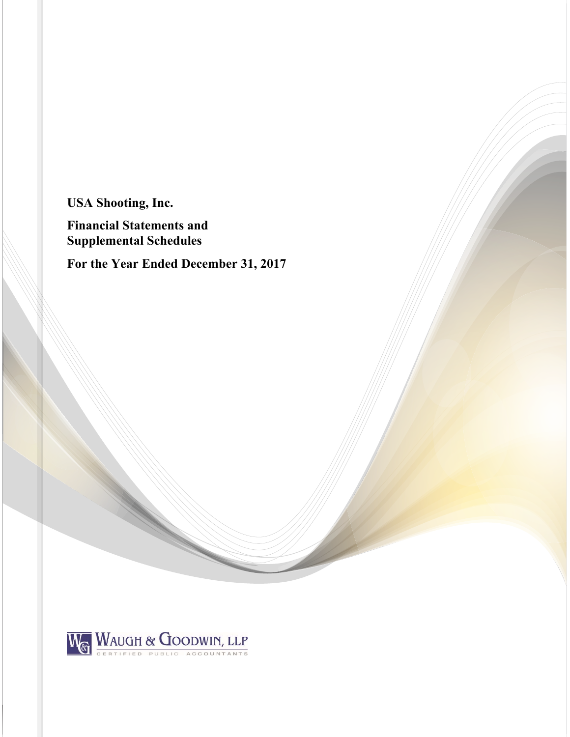**USA Shooting, Inc.** 

**Financial Statements and Supplemental Schedules** 

**For the Year Ended December 31, 2017** 

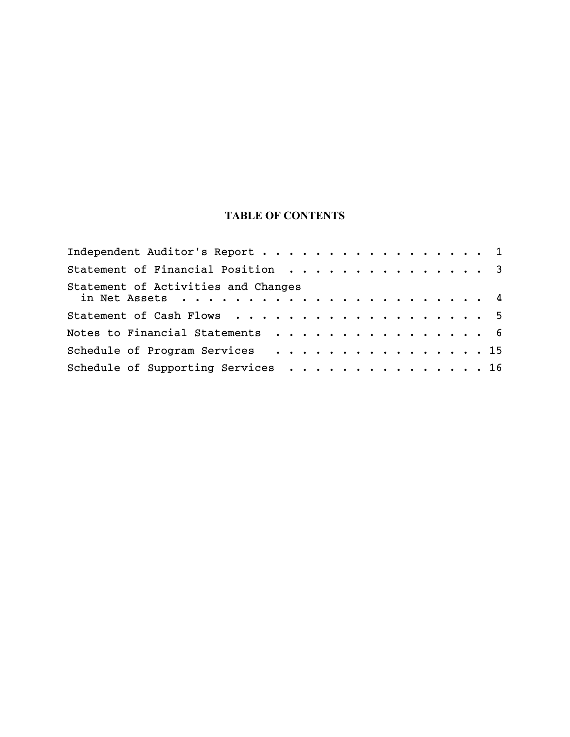# **TABLE OF CONTENTS**

| Independent Auditor's Report 1      |  |
|-------------------------------------|--|
| Statement of Financial Position 3   |  |
| Statement of Activities and Changes |  |
| Statement of Cash Flows 5           |  |
| Notes to Financial Statements 6     |  |
| Schedule of Program Services 15     |  |
| Schedule of Supporting Services 16  |  |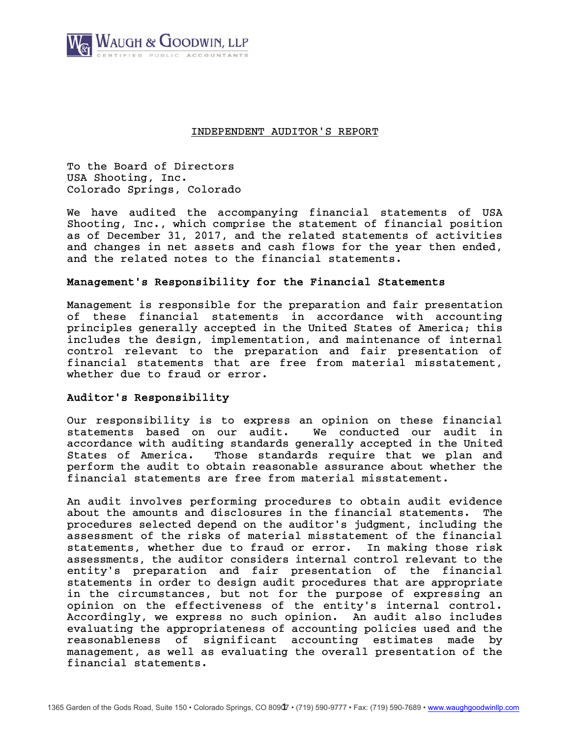

# INDEPENDENT AUDITOR'S REPORT

 To the Board of Directors USA Shooting, Inc. Colorado Springs, Colorado

We have audited the accompanying financial statements of USA Shooting, Inc., which comprise the statement of financial position as of December 31, 2017, and the related statements of activities and changes in net assets and cash flows for the year then ended, and the related notes to the financial statements.

# Management's Responsibility for the Financial Statements

Management is responsible for the preparation and fair presentation of these financial statements in accordance with accounting principles generally accepted in the United States of America; this includes the design, implementation, and maintenance of internal control relevant to the preparation and fair presentation of financial statements that are free from material misstatement, whether due to fraud or error.

# Auditor's Responsibility

Our responsibility is to express an opinion on these financial statements based on our audit. We conducted our audit in accordance with auditing standards generally accepted in the United States of America. Those standards require that we plan and perform the audit to obtain reasonable assurance about whether the financial statements are free from material misstatement.

An audit involves performing procedures to obtain audit evidence about the amounts and disclosures in the financial statements. The procedures selected depend on the auditor's judgment, including the assessment of the risks of material misstatement of the financial statements, whether due to fraud or error. In making those risk assessments, the auditor considers internal control relevant to the entity's preparation and fair presentation of the financial statements in order to design audit procedures that are appropriate in the circumstances, but not for the purpose of expressing an opinion on the effectiveness of the entity's internal control. Accordingly, we express no such opinion. An audit also includes evaluating the appropriateness of accounting policies used and the reasonableness of significant accounting estimates made by management, as well as evaluating the overall presentation of the financial statements.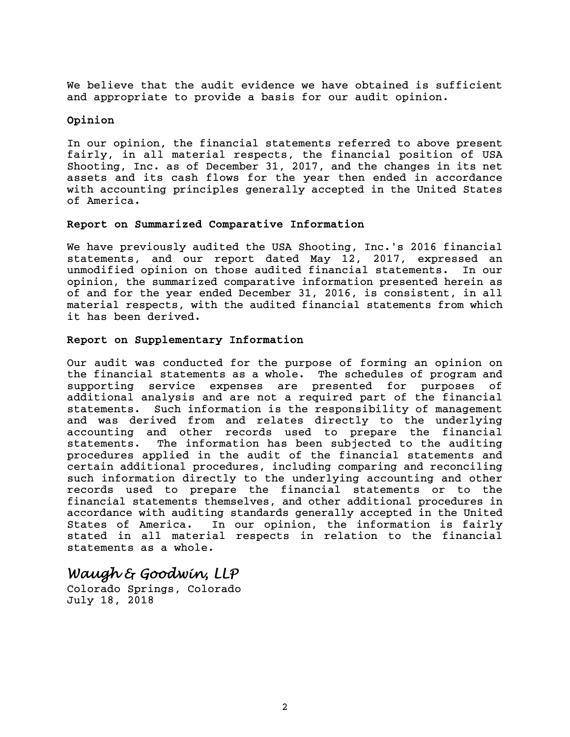We believe that the audit evidence we have obtained is sufficient and appropriate to provide a basis for our audit opinion.

# Opinion

In our opinion, the financial statements referred to above present fairly, in all material respects, the financial position of USA Shooting, Inc. as of December 31, 2017, and the changes in its net assets and its cash flows for the year then ended in accordance with accounting principles generally accepted in the United States of America.

# Report on Summarized Comparative Information

We have previously audited the USA Shooting, Inc.'s 2016 financial statements, and our report dated May 12, 2017, expressed an unmodified opinion on those audited financial statements. In our opinion, the summarized comparative information presented herein as of and for the year ended December 31, 2016, is consistent, in all material respects, with the audited financial statements from which it has been derived.

# Report on Supplementary Information

Our audit was conducted for the purpose of forming an opinion on the financial statements as a whole. The schedules of program and supporting service expenses are presented for purposes of additional analysis and are not a required part of the financial statements. Such information is the responsibility of management and was derived from and relates directly to the underlying accounting and other records used to prepare the financial statements. The information has been subjected to the auditing procedures applied in the audit of the financial statements and certain additional procedures, including comparing and reconciling such information directly to the underlying accounting and other records used to prepare the financial statements or to the financial statements themselves, and other additional procedures in accordance with auditing standards generally accepted in the United States of America. In our opinion, the information is fairly stated in all material respects in relation to the financial statements as a whole.

# *Waugh & Goodwin, LLP*

Colorado Springs, Colorado July 18, 2018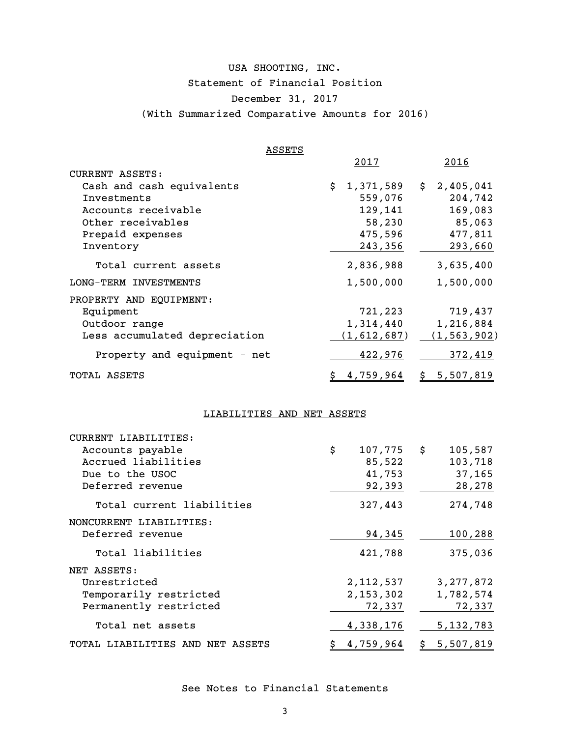# USA SHOOTING, INC. Statement of Financial Position December 31, 2017 (With Summarized Comparative Amounts for 2016)

| ASSETS                        |                 |                  |
|-------------------------------|-----------------|------------------|
|                               | <u>2017</u>     | 2016             |
| <b>CURRENT ASSETS:</b>        |                 |                  |
| Cash and cash equivalents     | \$<br>1,371,589 | 2,405,041<br>\$  |
| Investments                   | 559,076         | 204,742          |
| Accounts receivable           | 129,141         | 169,083          |
| Other receivables             | 58,230          | 85,063           |
| Prepaid expenses              | 475,596         | 477,811          |
| Inventory                     | 243,356         | 293,660          |
| Total current assets          | 2,836,988       | 3,635,400        |
| LONG-TERM INVESTMENTS         | 1,500,000       | 1,500,000        |
| PROPERTY AND EQUIPMENT:       |                 |                  |
| Equipment                     | 721,223         | 719,437          |
| Outdoor range                 | 1,314,440       | 1,216,884        |
| Less accumulated depreciation | (1,612,687)     | (1, 563, 902)    |
| Property and equipment - net  | 422,976         | 372,419          |
| TOTAL ASSETS                  | 4,759,964       | 5,507,819<br>\$_ |

# LIABILITIES AND NET ASSETS

| CURRENT LIABILITIES:             |                 |               |
|----------------------------------|-----------------|---------------|
| Accounts payable                 | \$<br>107,775   | \$<br>105,587 |
| Accrued liabilities              | 85,522          | 103,718       |
| Due to the USOC                  | 41,753          | 37,165        |
| Deferred revenue                 | 92,393          | 28,278        |
| Total current liabilities        | 327,443         | 274,748       |
| NONCURRENT LIABILITIES:          |                 |               |
| Deferred revenue                 | 94,345          | 100,288       |
| Total liabilities                | 421,788         | 375,036       |
| NET ASSETS:                      |                 |               |
| Unrestricted                     | 2,112,537       | 3, 277, 872   |
| Temporarily restricted           | 2, 153, 302     | 1,782,574     |
| Permanently restricted           | 72,337          | 72,337        |
| Total net assets                 | 4,338,176       | 5, 132, 783   |
| TOTAL LIABILITIES AND NET ASSETS | \$<br>4,759,964 | \$5,507,819   |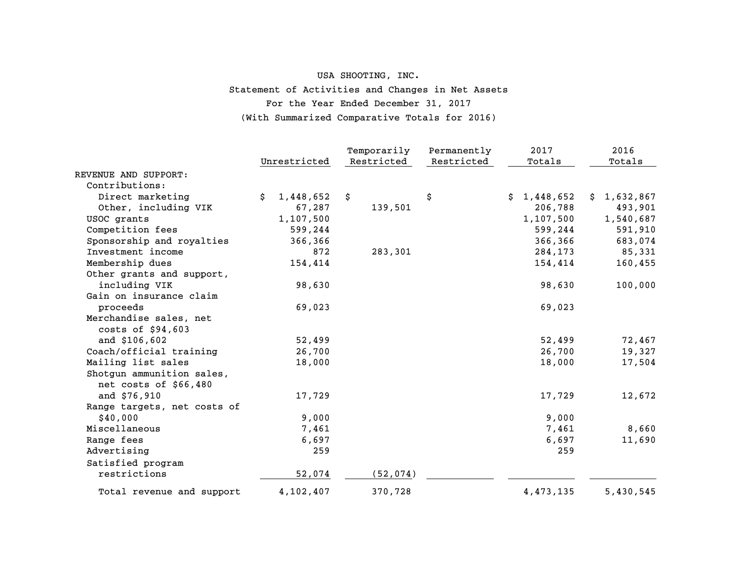# USA SHOOTING, INC. Statement of Activities and Changes in Net Assets For the Year Ended December 31, 2017 (With Summarized Comparative Totals for 2016)

|                             |                 | Temporarily | Permanently | 2017        | 2016        |
|-----------------------------|-----------------|-------------|-------------|-------------|-------------|
|                             | Unrestricted    | Restricted  | Restricted  | Totals      | Totals      |
| REVENUE AND SUPPORT:        |                 |             |             |             |             |
| Contributions:              |                 |             |             |             |             |
| Direct marketing            | 1,448,652<br>Ŝ. | \$          | \$          | \$1,448,652 | \$1,632,867 |
| Other, including VIK        | 67,287          | 139,501     |             | 206,788     | 493,901     |
| USOC grants                 | 1,107,500       |             |             | 1,107,500   | 1,540,687   |
| Competition fees            | 599,244         |             |             | 599,244     | 591,910     |
| Sponsorship and royalties   | 366,366         |             |             | 366,366     | 683,074     |
| Investment income           | 872             | 283,301     |             | 284,173     | 85,331      |
| Membership dues             | 154,414         |             |             | 154,414     | 160,455     |
| Other grants and support,   |                 |             |             |             |             |
| including VIK               | 98,630          |             |             | 98,630      | 100,000     |
| Gain on insurance claim     |                 |             |             |             |             |
| proceeds                    | 69,023          |             |             | 69,023      |             |
| Merchandise sales, net      |                 |             |             |             |             |
| costs of \$94,603           |                 |             |             |             |             |
| and \$106,602               | 52,499          |             |             | 52,499      | 72,467      |
| Coach/official training     | 26,700          |             |             | 26,700      | 19,327      |
| Mailing list sales          | 18,000          |             |             | 18,000      | 17,504      |
| Shotgun ammunition sales,   |                 |             |             |             |             |
| net costs of \$66,480       |                 |             |             |             |             |
| and \$76,910                | 17,729          |             |             | 17,729      | 12,672      |
| Range targets, net costs of |                 |             |             |             |             |
| \$40,000                    | 9,000           |             |             | 9,000       |             |
| Miscellaneous               | 7,461           |             |             | 7,461       | 8,660       |
| Range fees                  | 6,697           |             |             | 6,697       | 11,690      |
| Advertising                 | 259             |             |             | 259         |             |
| Satisfied program           |                 |             |             |             |             |
| restrictions                | 52,074          | (52, 074)   |             |             |             |
| Total revenue and support   | 4,102,407       | 370,728     |             | 4,473,135   | 5,430,545   |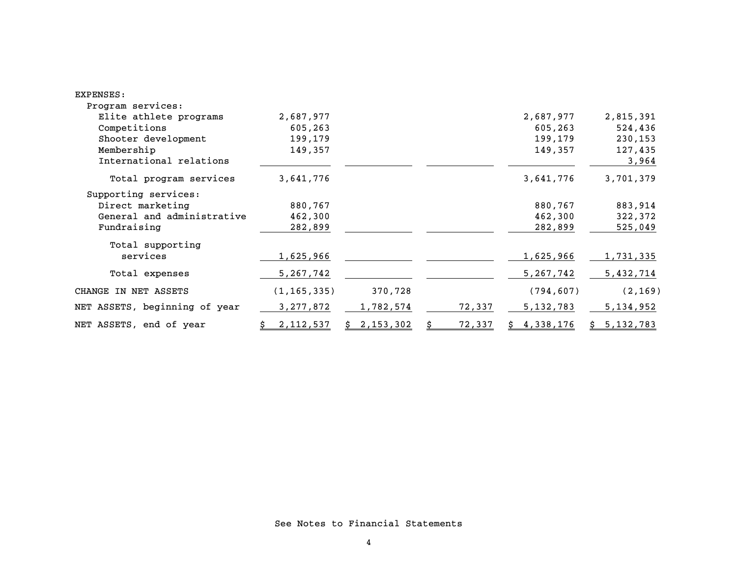| EXPENSES:                     |               |                 |        |             |             |
|-------------------------------|---------------|-----------------|--------|-------------|-------------|
| Program services:             |               |                 |        |             |             |
| Elite athlete programs        | 2,687,977     |                 |        | 2,687,977   | 2,815,391   |
| Competitions                  | 605,263       |                 |        | 605,263     | 524,436     |
| Shooter development           | 199,179       |                 |        | 199,179     | 230,153     |
| Membership                    | 149,357       |                 |        | 149,357     | 127,435     |
| International relations       |               |                 |        |             | 3,964       |
| Total program services        | 3,641,776     |                 |        | 3,641,776   | 3,701,379   |
| Supporting services:          |               |                 |        |             |             |
| Direct marketing              | 880,767       |                 |        | 880,767     | 883,914     |
| General and administrative    | 462,300       |                 |        | 462,300     | 322,372     |
| Fundraising                   | 282,899       |                 |        | 282,899     | 525,049     |
| Total supporting              |               |                 |        |             |             |
| services                      | 1,625,966     |                 |        | 1,625,966   | 1,731,335   |
| Total expenses                | 5, 267, 742   |                 |        | 5, 267, 742 | 5,432,714   |
| CHANGE IN NET ASSETS          | (1, 165, 335) | 370,728         |        | (794, 607)  | (2, 169)    |
| NET ASSETS, beginning of year | 3, 277, 872   | 1,782,574       | 72,337 | 5, 132, 783 | 5, 134, 952 |
| NET ASSETS, end of year       | 2,112,537     | 2,153,302<br>S. | 72,337 | 4,338,176   | \$5,132,783 |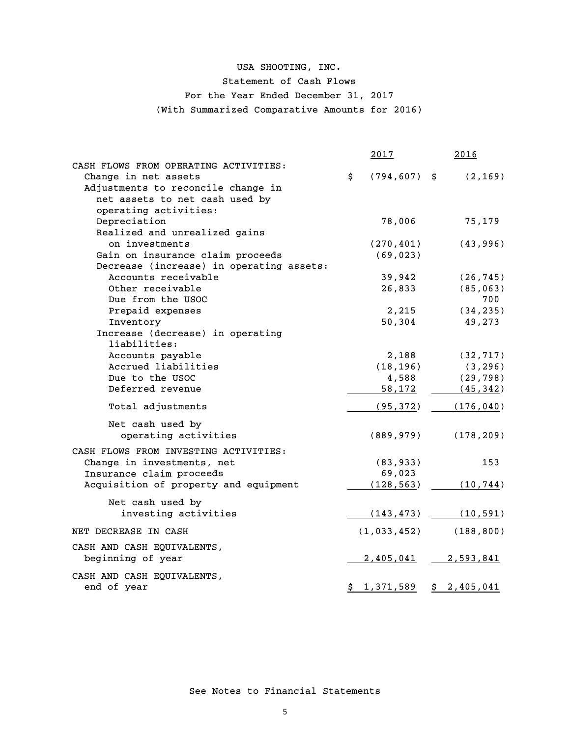# USA SHOOTING, INC. Statement of Cash Flows For the Year Ended December 31, 2017 (With Summarized Comparative Amounts for 2016)

|                                           | 2017                  | 2016                  |
|-------------------------------------------|-----------------------|-----------------------|
| CASH FLOWS FROM OPERATING ACTIVITIES:     |                       |                       |
| Change in net assets                      | \$<br>$(794, 607)$ \$ | (2, 169)              |
| Adjustments to reconcile change in        |                       |                       |
| net assets to net cash used by            |                       |                       |
| operating activities:                     |                       |                       |
| Depreciation                              | 78,006                | 75,179                |
| Realized and unrealized gains             |                       |                       |
| on investments                            | (270, 401)            | (43, 996)             |
| Gain on insurance claim proceeds          | (69, 023)             |                       |
| Decrease (increase) in operating assets:  |                       |                       |
| Accounts receivable                       | 39,942                | (26, 745)             |
| Other receivable                          | 26,833                | (85, 063)             |
| Due from the USOC                         |                       | 700                   |
| Prepaid expenses                          | 2,215                 | (34, 235)             |
| Inventory                                 | 50,304                | 49,273                |
| Increase (decrease) in operating          |                       |                       |
| liabilities:                              |                       |                       |
| Accounts payable                          | 2,188                 | (32, 717)             |
| Accrued liabilities                       | (18, 196)             | (3, 296)              |
| Due to the USOC                           | 4,588                 | (29, 798)             |
| Deferred revenue                          | 58,172                | (45, 342)             |
| Total adjustments                         | (95, 372)             | (176, 040)            |
| Net cash used by                          |                       |                       |
| operating activities                      | (889, 979)            | (178, 209)            |
| CASH FLOWS FROM INVESTING ACTIVITIES:     |                       |                       |
|                                           | (83, 933)             | 153                   |
| Change in investments, net                |                       |                       |
| Insurance claim proceeds                  | 69,023                |                       |
| Acquisition of property and equipment     | (128, 563)            | (10, 744)             |
| Net cash used by                          |                       |                       |
| investing activities                      | (143, 473)            | (10, 591)             |
| NET DECREASE IN CASH                      | (1, 033, 452)         | (188, 800)            |
| CASH AND CASH EQUIVALENTS,                |                       |                       |
| beginning of year                         | 2,405,041             | 2,593,841             |
|                                           |                       |                       |
| CASH AND CASH EQUIVALENTS,<br>end of year | $\frac{1,371,589}{ }$ | $\frac{2,405,041}{2}$ |
|                                           |                       |                       |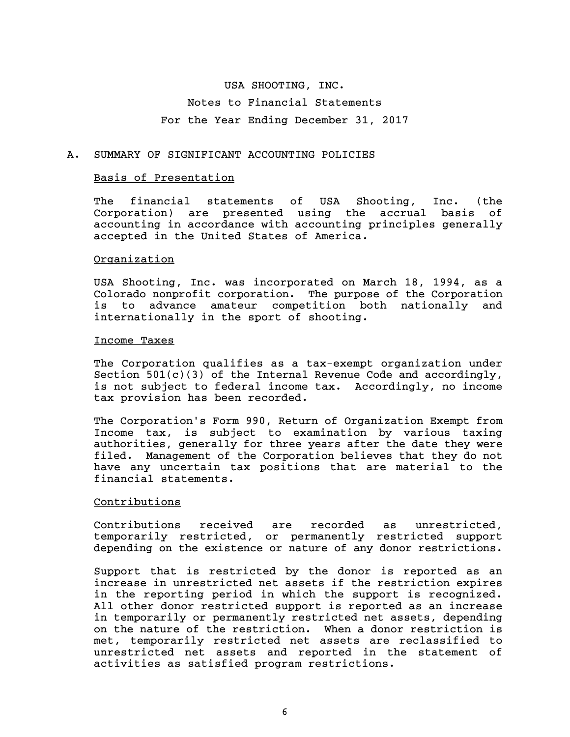# USA SHOOTING, INC. Notes to Financial Statements

# For the Year Ending December 31, 2017

# A. SUMMARY OF SIGNIFICANT ACCOUNTING POLICIES

#### Basis of Presentation

The financial statements of USA Shooting, Inc. (the Corporation) are presented using the accrual basis of accounting in accordance with accounting principles generally accepted in the United States of America.

# Organization

USA Shooting, Inc. was incorporated on March 18, 1994, as a Colorado nonprofit corporation. The purpose of the Corporation is to advance amateur competition both nationally and internationally in the sport of shooting.

#### Income Taxes

The Corporation qualifies as a tax-exempt organization under Section  $501(c)(3)$  of the Internal Revenue Code and accordingly, is not subject to federal income tax. Accordingly, no income tax provision has been recorded.

The Corporation's Form 990, Return of Organization Exempt from Income tax, is subject to examination by various taxing authorities, generally for three years after the date they were filed. Management of the Corporation believes that they do not have any uncertain tax positions that are material to the financial statements.

# Contributions

Contributions received are recorded as unrestricted, temporarily restricted, or permanently restricted support depending on the existence or nature of any donor restrictions.

Support that is restricted by the donor is reported as an increase in unrestricted net assets if the restriction expires in the reporting period in which the support is recognized. All other donor restricted support is reported as an increase in temporarily or permanently restricted net assets, depending on the nature of the restriction. When a donor restriction is met, temporarily restricted net assets are reclassified to unrestricted net assets and reported in the statement of activities as satisfied program restrictions.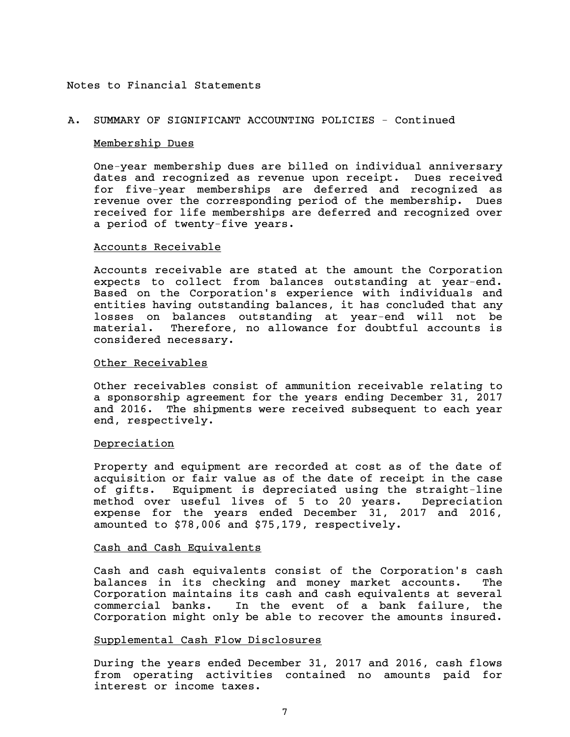#### A. SUMMARY OF SIGNIFICANT ACCOUNTING POLICIES - Continued

#### Membership Dues

One-year membership dues are billed on individual anniversary dates and recognized as revenue upon receipt. Dues received for five-year memberships are deferred and recognized as revenue over the corresponding period of the membership. Dues received for life memberships are deferred and recognized over a period of twenty-five years.

#### Accounts Receivable

Accounts receivable are stated at the amount the Corporation expects to collect from balances outstanding at year-end. Based on the Corporation's experience with individuals and entities having outstanding balances, it has concluded that any losses on balances outstanding at year-end will not be material. Therefore, no allowance for doubtful accounts is considered necessary.

# Other Receivables

Other receivables consist of ammunition receivable relating to a sponsorship agreement for the years ending December 31, 2017 and 2016. The shipments were received subsequent to each year end, respectively.

# Depreciation

Property and equipment are recorded at cost as of the date of acquisition or fair value as of the date of receipt in the case of gifts. Equipment is depreciated using the straight-line method over useful lives of 5 to 20 years. Depreciation expense for the years ended December 31, 2017 and 2016, amounted to \$78,006 and \$75,179, respectively.

#### Cash and Cash Equivalents

Cash and cash equivalents consist of the Corporation's cash balances in its checking and money market accounts. The Corporation maintains its cash and cash equivalents at several commercial banks. In the event of a bank failure, the Corporation might only be able to recover the amounts insured.

# Supplemental Cash Flow Disclosures

During the years ended December 31, 2017 and 2016, cash flows from operating activities contained no amounts paid for interest or income taxes.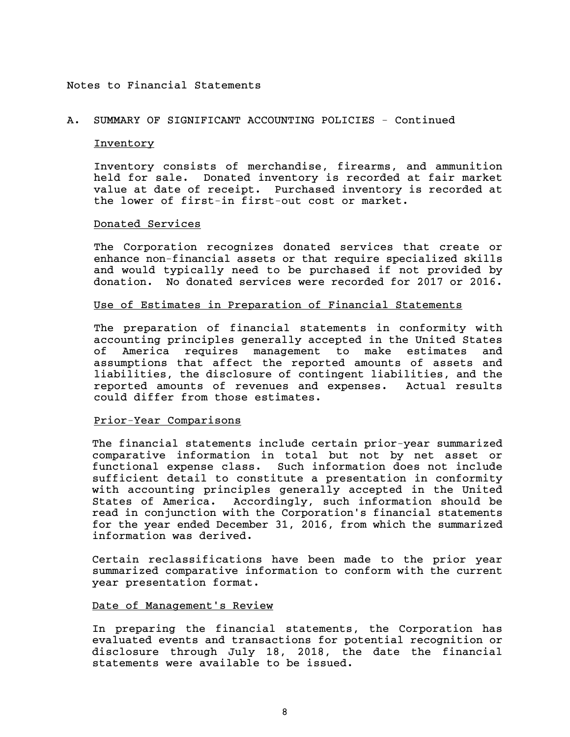# A. SUMMARY OF SIGNIFICANT ACCOUNTING POLICIES - Continued

# **Inventory**

Inventory consists of merchandise, firearms, and ammunition held for sale. Donated inventory is recorded at fair market value at date of receipt. Purchased inventory is recorded at the lower of first-in first-out cost or market.

# Donated Services

The Corporation recognizes donated services that create or enhance non-financial assets or that require specialized skills and would typically need to be purchased if not provided by donation. No donated services were recorded for 2017 or 2016.

# Use of Estimates in Preparation of Financial Statements

The preparation of financial statements in conformity with accounting principles generally accepted in the United States of America requires management to make estimates and assumptions that affect the reported amounts of assets and liabilities, the disclosure of contingent liabilities, and the reported amounts of revenues and expenses. Actual results could differ from those estimates.

# Prior-Year Comparisons

The financial statements include certain prior-year summarized comparative information in total but not by net asset or functional expense class. Such information does not include sufficient detail to constitute a presentation in conformity with accounting principles generally accepted in the United States of America. Accordingly, such information should be read in conjunction with the Corporation's financial statements for the year ended December 31, 2016, from which the summarized information was derived.

Certain reclassifications have been made to the prior year summarized comparative information to conform with the current year presentation format.

#### Date of Management's Review

In preparing the financial statements, the Corporation has evaluated events and transactions for potential recognition or disclosure through July 18, 2018, the date the financial statements were available to be issued.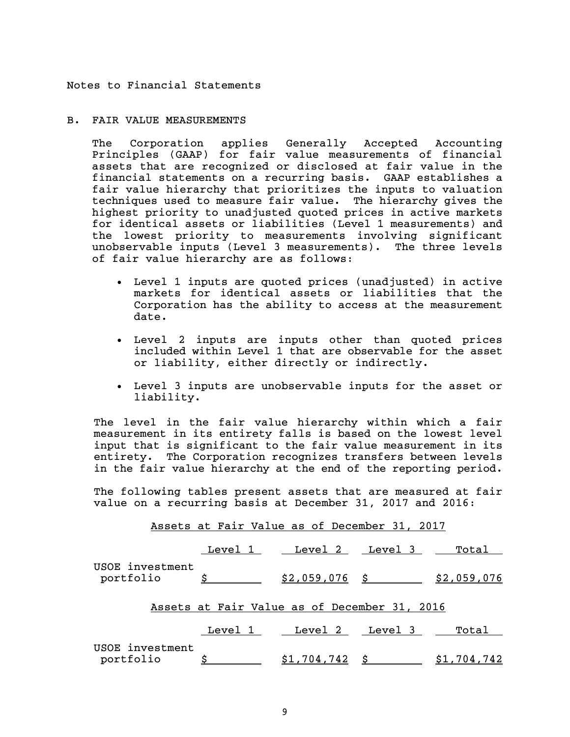# B. FAIR VALUE MEASUREMENTS

The Corporation applies Generally Accepted Accounting Principles (GAAP) for fair value measurements of financial assets that are recognized or disclosed at fair value in the financial statements on a recurring basis. GAAP establishes a fair value hierarchy that prioritizes the inputs to valuation techniques used to measure fair value. The hierarchy gives the highest priority to unadjusted quoted prices in active markets for identical assets or liabilities (Level 1 measurements) and the lowest priority to measurements involving significant unobservable inputs (Level 3 measurements). The three levels of fair value hierarchy are as follows:

- Level 1 inputs are quoted prices (unadjusted) in active markets for identical assets or liabilities that the Corporation has the ability to access at the measurement date.
- Level 2 inputs are inputs other than quoted prices included within Level 1 that are observable for the asset or liability, either directly or indirectly.
- Level 3 inputs are unobservable inputs for the asset or liability.

The level in the fair value hierarchy within which a fair measurement in its entirety falls is based on the lowest level input that is significant to the fair value measurement in its entirety. The Corporation recognizes transfers between levels in the fair value hierarchy at the end of the reporting period.

The following tables present assets that are measured at fair value on a recurring basis at December 31, 2017 and 2016:

| Assets at Fair Value as of December 31, 2017 |  |                                                                   |  |  |
|----------------------------------------------|--|-------------------------------------------------------------------|--|--|
|                                              |  | Level 1 Level 2 Level 3 Total                                     |  |  |
| USOE investment<br>portfolio                 |  | $\frac{$}{$}$ $\frac{$2,059,076}{0.76}$ $\frac{$2,059,076}{0.76}$ |  |  |
| Assets at Fair Value as of December 31, 2016 |  |                                                                   |  |  |
|                                              |  | Level 1 Level 2 Level 3 Total                                     |  |  |
| USOE investment<br>portfolio                 |  | $$1,704,742 \text{ }$ \$ $$1,704,742$                             |  |  |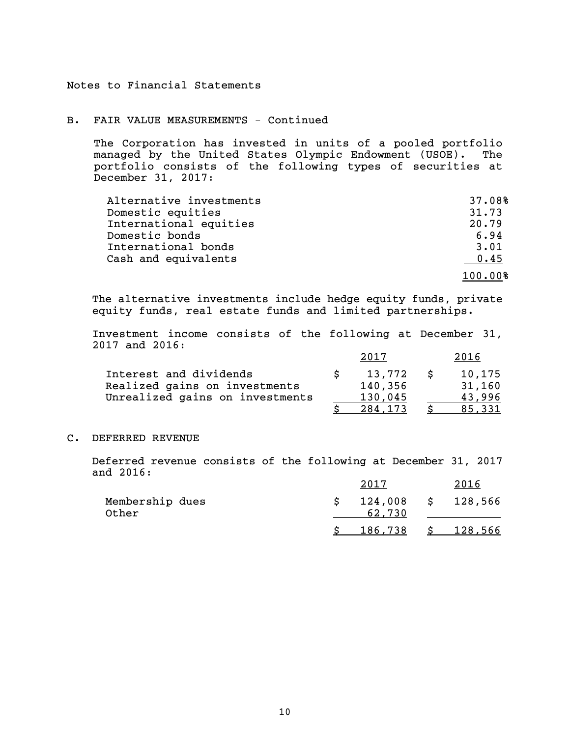# B. FAIR VALUE MEASUREMENTS - Continued

The Corporation has invested in units of a pooled portfolio managed by the United States Olympic Endowment (USOE). The portfolio consists of the following types of securities at December 31, 2017:

| Alternative investments | 37.08%  |
|-------------------------|---------|
| Domestic equities       | 31.73   |
| International equities  | 20.79   |
| Domestic bonds          | 6.94    |
| International bonds     | 3.01    |
| Cash and equivalents    | 0.45    |
|                         | 100.00% |

The alternative investments include hedge equity funds, private equity funds, real estate funds and limited partnerships.

Investment income consists of the following at December 31, 2017 and 2016:

|                                 | 2017    | 2016   |
|---------------------------------|---------|--------|
| Interest and dividends          | 13.772  | 10,175 |
| Realized gains on investments   | 140,356 | 31,160 |
| Unrealized gains on investments | 130,045 | 43.996 |
|                                 | 284.173 | 85.331 |

#### C. DEFERRED REVENUE

Deferred revenue consists of the following at December 31, 2017 and 2016:

|                          | 2017              | 2016      |
|--------------------------|-------------------|-----------|
| Membership dues<br>Other | 124,008<br>62.730 | \$128,566 |
|                          | <u>186,738</u>    | 128,566   |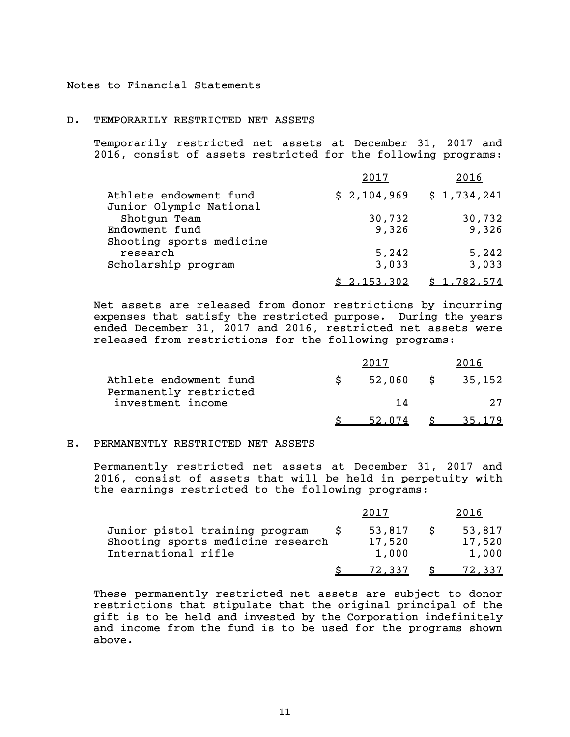#### D. TEMPORARILY RESTRICTED NET ASSETS

Temporarily restricted net assets at December 31, 2017 and 2016, consist of assets restricted for the following programs:

|                                                   | 2017        | 2016        |
|---------------------------------------------------|-------------|-------------|
| Athlete endowment fund<br>Junior Olympic National | \$2,104,969 | \$1,734,241 |
| Shotgun Team                                      | 30,732      | 30,732      |
| Endowment fund<br>Shooting sports medicine        | 9,326       | 9,326       |
| research                                          | 5,242       | 5,242       |
| Scholarship program                               | 3,033       | 3,033       |
|                                                   | \$2,153,302 | \$1,782,574 |

Net assets are released from donor restrictions by incurring expenses that satisfy the restricted purpose. During the years ended December 31, 2017 and 2016, restricted net assets were released from restrictions for the following programs:

| Athlete endowment fund<br>Permanently restricted | 52,060 | S | 35,152 |
|--------------------------------------------------|--------|---|--------|
| investment income                                | 1 4    |   |        |
|                                                  | 52.074 |   |        |

#### E. PERMANENTLY RESTRICTED NET ASSETS

Permanently restricted net assets at December 31, 2017 and 2016, consist of assets that will be held in perpetuity with the earnings restricted to the following programs:

|                                                                                            |                           | 2016                      |
|--------------------------------------------------------------------------------------------|---------------------------|---------------------------|
| Junior pistol training program<br>Shooting sports medicine research<br>International rifle | 53,817<br>17,520<br>1,000 | 53,817<br>17,520<br>1,000 |
|                                                                                            | 72,337                    |                           |

These permanently restricted net assets are subject to donor restrictions that stipulate that the original principal of the gift is to be held and invested by the Corporation indefinitely and income from the fund is to be used for the programs shown above.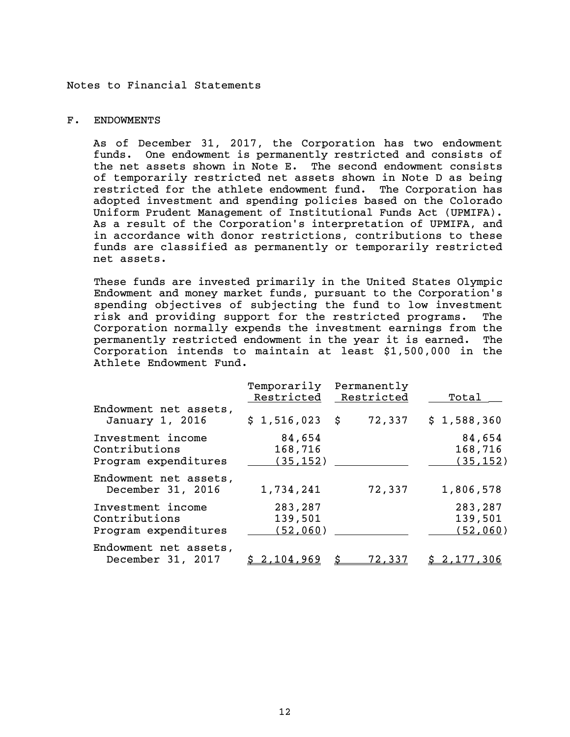## F. ENDOWMENTS

As of December 31, 2017, the Corporation has two endowment funds. One endowment is permanently restricted and consists of the net assets shown in Note E. The second endowment consists of temporarily restricted net assets shown in Note D as being restricted for the athlete endowment fund. The Corporation has adopted investment and spending policies based on the Colorado Uniform Prudent Management of Institutional Funds Act (UPMIFA). As a result of the Corporation's interpretation of UPMIFA, and in accordance with donor restrictions, contributions to these funds are classified as permanently or temporarily restricted net assets.

These funds are invested primarily in the United States Olympic Endowment and money market funds, pursuant to the Corporation's spending objectives of subjecting the fund to low investment risk and providing support for the restricted programs. The Corporation normally expends the investment earnings from the permanently restricted endowment in the year it is earned. The Corporation intends to maintain at least \$1,500,000 in the Athlete Endowment Fund.

|                                                            | Temporarily<br>Restricted       | Permanently<br>Restricted | Total                          |
|------------------------------------------------------------|---------------------------------|---------------------------|--------------------------------|
| Endowment net assets,<br>January 1, 2016                   | $$1,516,023$ \$                 | 72,337                    | \$1,588,360                    |
| Investment income<br>Contributions<br>Program expenditures | 84,654<br>168,716<br>(35, 152)  |                           | 84,654<br>168,716<br>(35, 152) |
| Endowment net assets,<br>December 31, 2016                 | 1,734,241                       | 72,337                    | 1,806,578                      |
| Investment income<br>Contributions<br>Program expenditures | 283,287<br>139,501<br>(52, 060) |                           | 283,287<br>139,501<br>(52,060) |
| Endowment net assets,<br>December 31, 2017                 | \$2,104,969                     | 72,337                    | \$2,177,306                    |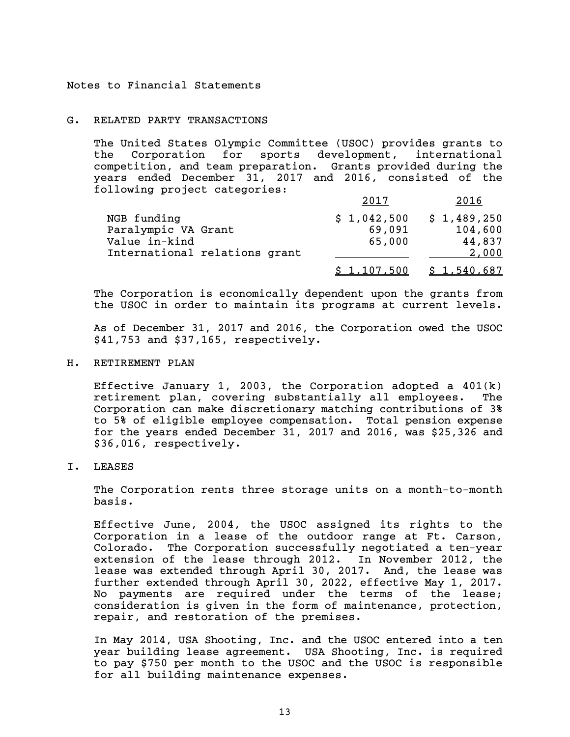#### G. RELATED PARTY TRANSACTIONS

The United States Olympic Committee (USOC) provides grants to the Corporation for sports development, international competition, and team preparation. Grants provided during the years ended December 31, 2017 and 2016, consisted of the following project categories:

|                               | 2017        | 2016        |
|-------------------------------|-------------|-------------|
| NGB funding                   | \$1,042,500 | \$1,489,250 |
| Paralympic VA Grant           | 69,091      | 104,600     |
| Value in-kind                 | 65,000      | 44,837      |
| International relations grant |             | 2,000       |
|                               | \$1,107,500 | \$1,540,687 |

The Corporation is economically dependent upon the grants from the USOC in order to maintain its programs at current levels.

As of December 31, 2017 and 2016, the Corporation owed the USOC \$41,753 and \$37,165, respectively.

H. RETIREMENT PLAN

Effective January 1, 2003, the Corporation adopted a  $401(k)$ retirement plan, covering substantially all employees. The Corporation can make discretionary matching contributions of 3% to 5% of eligible employee compensation. Total pension expense for the years ended December 31, 2017 and 2016, was \$25,326 and \$36,016, respectively.

I. LEASES

The Corporation rents three storage units on a month-to-month basis.

Effective June, 2004, the USOC assigned its rights to the Corporation in a lease of the outdoor range at Ft. Carson, Colorado. The Corporation successfully negotiated a ten-year extension of the lease through 2012. In November 2012, the lease was extended through April 30, 2017. And, the lease was further extended through April 30, 2022, effective May 1, 2017. No payments are required under the terms of the lease; consideration is given in the form of maintenance, protection, repair, and restoration of the premises.

In May 2014, USA Shooting, Inc. and the USOC entered into a ten year building lease agreement. USA Shooting, Inc. is required to pay \$750 per month to the USOC and the USOC is responsible for all building maintenance expenses.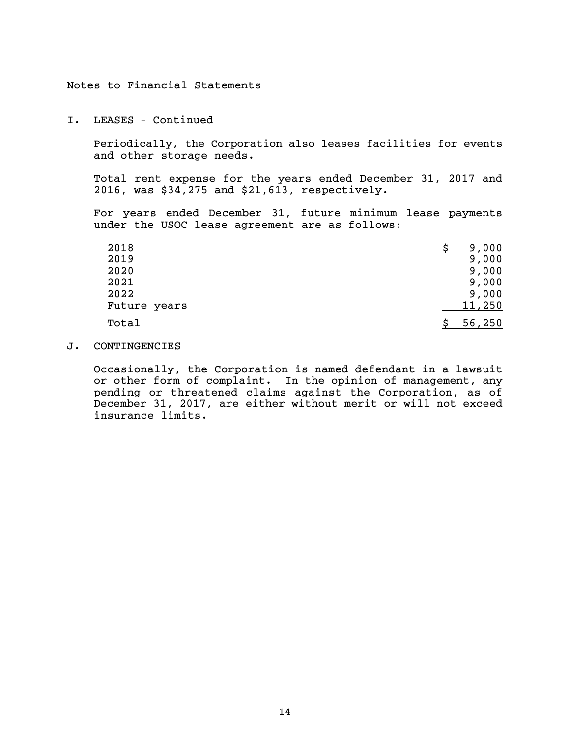I. LEASES – Continued

Periodically, the Corporation also leases facilities for events and other storage needs.

Total rent expense for the years ended December 31, 2017 and 2016, was \$34,275 and \$21,613, respectively.

For years ended December 31, future minimum lease payments under the USOC lease agreement are as follows:

| 2018         | 9,000<br>\$   |
|--------------|---------------|
| 2019         | 9,000         |
| 2020         | 9,000         |
| 2021         | 9,000         |
| 2022         | 9,000         |
| Future years | 11,250        |
| Total        | <u>56,250</u> |

J. CONTINGENCIES

Occasionally, the Corporation is named defendant in a lawsuit or other form of complaint. In the opinion of management, any pending or threatened claims against the Corporation, as of December 31, 2017, are either without merit or will not exceed insurance limits.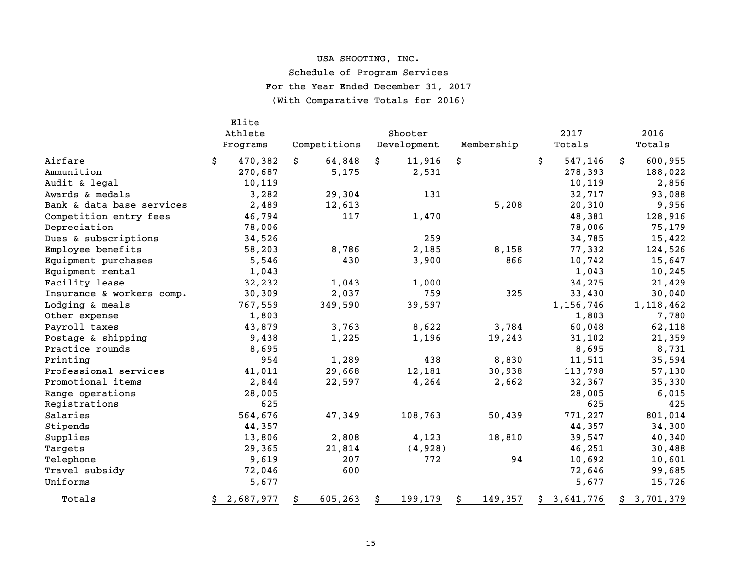# USA SHOOTING, INC.

Schedule of Program Services

For the Year Ended December 31, 2017

(With Comparative Totals for 2016)

|                           |    | Elite<br>Athlete<br>Programs |    | Competitions | Shooter<br>Development | Membership    |    | 2017<br>Totals |    | 2016<br>Totals |
|---------------------------|----|------------------------------|----|--------------|------------------------|---------------|----|----------------|----|----------------|
| Airfare                   | Ŝ. | 470,382                      | Ŝ. | 64,848       | \$<br>11,916           | \$            | Ŝ. | 547,146        | Ŝ. | 600,955        |
| Ammunition                |    | 270,687                      |    | 5,175        | 2,531                  |               |    | 278,393        |    | 188,022        |
| Audit & legal             |    | 10,119                       |    |              |                        |               |    | 10,119         |    | 2,856          |
| Awards & medals           |    | 3,282                        |    | 29,304       | 131                    |               |    | 32,717         |    | 93,088         |
| Bank & data base services |    | 2,489                        |    | 12,613       |                        | 5,208         |    | 20,310         |    | 9,956          |
| Competition entry fees    |    | 46,794                       |    | 117          | 1,470                  |               |    | 48,381         |    | 128,916        |
| Depreciation              |    | 78,006                       |    |              |                        |               |    | 78,006         |    | 75,179         |
| Dues & subscriptions      |    | 34,526                       |    |              | 259                    |               |    | 34,785         |    | 15,422         |
| Employee benefits         |    | 58,203                       |    | 8,786        | 2,185                  | 8,158         |    | 77,332         |    | 124,526        |
| Equipment purchases       |    | 5,546                        |    | 430          | 3,900                  | 866           |    | 10,742         |    | 15,647         |
| Equipment rental          |    | 1,043                        |    |              |                        |               |    | 1,043          |    | 10,245         |
| Facility lease            |    | 32,232                       |    | 1,043        | 1,000                  |               |    | 34,275         |    | 21,429         |
| Insurance & workers comp. |    | 30,309                       |    | 2,037        | 759                    | 325           |    | 33,430         |    | 30,040         |
| Lodging & meals           |    | 767,559                      |    | 349,590      | 39,597                 |               |    | 1,156,746      |    | 1,118,462      |
| Other expense             |    | 1,803                        |    |              |                        |               |    | 1,803          |    | 7,780          |
| Payroll taxes             |    | 43,879                       |    | 3,763        | 8,622                  | 3,784         |    | 60,048         |    | 62,118         |
| Postage & shipping        |    | 9,438                        |    | 1,225        | 1,196                  | 19,243        |    | 31,102         |    | 21,359         |
| Practice rounds           |    | 8,695                        |    |              |                        |               |    | 8,695          |    | 8,731          |
| Printing                  |    | 954                          |    | 1,289        | 438                    | 8,830         |    | 11,511         |    | 35,594         |
| Professional services     |    | 41,011                       |    | 29,668       | 12,181                 | 30,938        |    | 113,798        |    | 57,130         |
| Promotional items         |    | 2,844                        |    | 22,597       | 4,264                  | 2,662         |    | 32,367         |    | 35,330         |
| Range operations          |    | 28,005                       |    |              |                        |               |    | 28,005         |    | 6,015          |
| Registrations             |    | 625                          |    |              |                        |               |    | 625            |    | 425            |
| Salaries                  |    | 564,676                      |    | 47,349       | 108,763                | 50,439        |    | 771,227        |    | 801,014        |
| Stipends                  |    | 44,357                       |    |              |                        |               |    | 44,357         |    | 34,300         |
| Supplies                  |    | 13,806                       |    | 2,808        | 4,123                  | 18,810        |    | 39,547         |    | 40,340         |
| Targets                   |    | 29,365                       |    | 21,814       | (4,928)                |               |    | 46,251         |    | 30,488         |
| Telephone                 |    | 9,619                        |    | 207          | 772                    | 94            |    | 10,692         |    | 10,601         |
| Travel subsidy            |    | 72,046                       |    | 600          |                        |               |    | 72,646         |    | 99,685         |
| Uniforms                  |    | 5,677                        |    |              |                        |               |    | 5,677          |    | 15,726         |
| Totals                    |    | \$2,687,977                  | \$ | 605,263      | \$<br>199,179          | \$<br>149,357 |    | \$3,641,776    |    | \$3,701,379    |